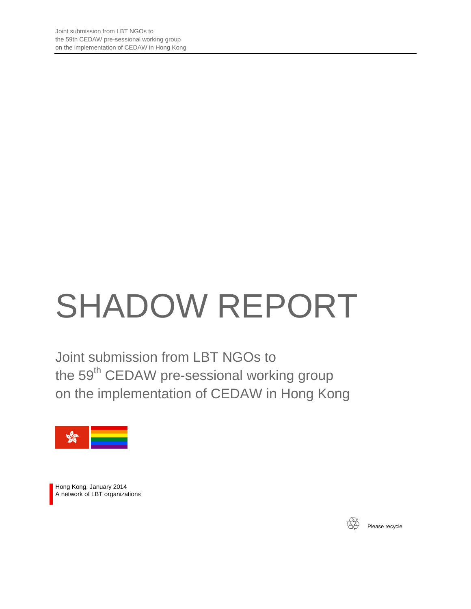# SHADOW REPORT

Joint submission from LBT NGOs to the 59<sup>th</sup> CEDAW pre-sessional working group on the implementation of CEDAW in Hong Kong



Hong Kong, January 2014 A network of LBT organizations



Please recycle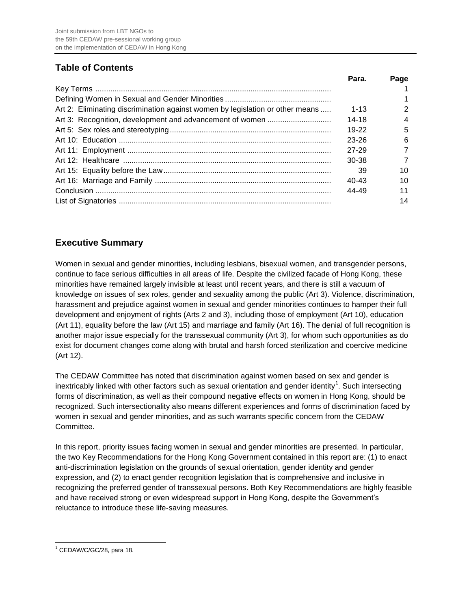# **Table of Contents**

|                                                                               | Para.     | Page |
|-------------------------------------------------------------------------------|-----------|------|
|                                                                               |           |      |
|                                                                               |           |      |
| Art 2: Eliminating discrimination against women by legislation or other means | $1 - 13$  |      |
|                                                                               | 14-18     | 4    |
|                                                                               | 19-22     | 5    |
|                                                                               | $23 - 26$ | 6    |
|                                                                               | 27-29     |      |
|                                                                               | 30-38     |      |
|                                                                               | 39        | 10   |
|                                                                               | $40 - 43$ | 10   |
|                                                                               | 44-49     |      |
|                                                                               |           | 14   |

# **Executive Summary**

Women in sexual and gender minorities, including lesbians, bisexual women, and transgender persons, continue to face serious difficulties in all areas of life. Despite the civilized facade of Hong Kong, these minorities have remained largely invisible at least until recent years, and there is still a vacuum of knowledge on issues of sex roles, gender and sexuality among the public (Art 3). Violence, discrimination, harassment and prejudice against women in sexual and gender minorities continues to hamper their full development and enjoyment of rights (Arts 2 and 3), including those of employment (Art 10), education (Art 11), equality before the law (Art 15) and marriage and family (Art 16). The denial of full recognition is another major issue especially for the transsexual community (Art 3), for whom such opportunities as do exist for document changes come along with brutal and harsh forced sterilization and coercive medicine (Art 12).

The CEDAW Committee has noted that discrimination against women based on sex and gender is inextricably linked with other factors such as sexual orientation and gender identity<sup>1</sup>. Such intersecting forms of discrimination, as well as their compound negative effects on women in Hong Kong, should be recognized. Such intersectionality also means different experiences and forms of discrimination faced by women in sexual and gender minorities, and as such warrants specific concern from the CEDAW Committee.

In this report, priority issues facing women in sexual and gender minorities are presented. In particular, the two Key Recommendations for the Hong Kong Government contained in this report are: (1) to enact anti-discrimination legislation on the grounds of sexual orientation, gender identity and gender expression, and (2) to enact gender recognition legislation that is comprehensive and inclusive in recognizing the preferred gender of transsexual persons. Both Key Recommendations are highly feasible and have received strong or even widespread support in Hong Kong, despite the Government's reluctance to introduce these life-saving measures.

 <sup>1</sup> CEDAW/C/GC/28, para 18.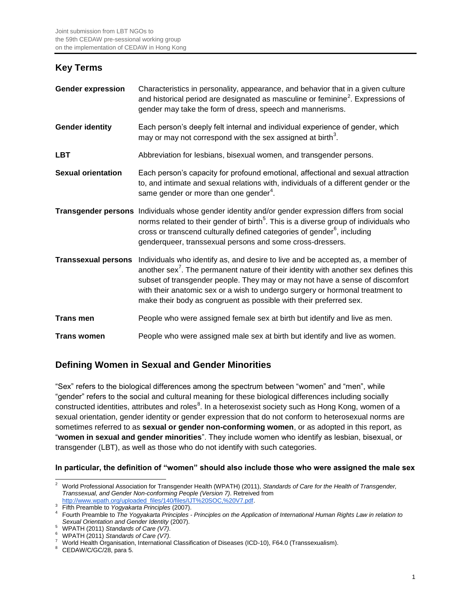## **Key Terms**

| <b>Gender expression</b>   | Characteristics in personality, appearance, and behavior that in a given culture<br>and historical period are designated as masculine or feminine <sup>2</sup> . Expressions of<br>gender may take the form of dress, speech and mannerisms.                                                                                                                                                                              |
|----------------------------|---------------------------------------------------------------------------------------------------------------------------------------------------------------------------------------------------------------------------------------------------------------------------------------------------------------------------------------------------------------------------------------------------------------------------|
| <b>Gender identity</b>     | Each person's deeply felt internal and individual experience of gender, which<br>may or may not correspond with the sex assigned at birth <sup>3</sup> .                                                                                                                                                                                                                                                                  |
| <b>LBT</b>                 | Abbreviation for lesbians, bisexual women, and transgender persons.                                                                                                                                                                                                                                                                                                                                                       |
| <b>Sexual orientation</b>  | Each person's capacity for profound emotional, affectional and sexual attraction<br>to, and intimate and sexual relations with, individuals of a different gender or the<br>same gender or more than one gender <sup>4</sup> .                                                                                                                                                                                            |
|                            | Transgender persons Individuals whose gender identity and/or gender expression differs from social<br>norms related to their gender of birth <sup>5</sup> . This is a diverse group of individuals who<br>cross or transcend culturally defined categories of gender <sup>6</sup> , including<br>genderqueer, transsexual persons and some cross-dressers.                                                                |
| <b>Transsexual persons</b> | Individuals who identify as, and desire to live and be accepted as, a member of<br>another sex <sup>7</sup> . The permanent nature of their identity with another sex defines this<br>subset of transgender people. They may or may not have a sense of discomfort<br>with their anatomic sex or a wish to undergo surgery or hormonal treatment to<br>make their body as congruent as possible with their preferred sex. |
| <b>Trans men</b>           | People who were assigned female sex at birth but identify and live as men.                                                                                                                                                                                                                                                                                                                                                |
| <b>Trans women</b>         | People who were assigned male sex at birth but identify and live as women.                                                                                                                                                                                                                                                                                                                                                |

# **Defining Women in Sexual and Gender Minorities**

"Sex" refers to the biological differences among the spectrum between "women" and "men", while "gender" refers to the social and cultural meaning for these biological differences including socially constructed identities, attributes and roles ${}^{8}$ . In a heterosexist society such as Hong Kong, women of a sexual orientation, gender identity or gender expression that do not conform to heterosexual norms are sometimes referred to as **sexual or gender non-conforming women**, or as adopted in this report, as "**women in sexual and gender minorities**". They include women who identify as lesbian, bisexual, or transgender (LBT), as well as those who do not identify with such categories.

## **In particular, the definition of "women" should also include those who were assigned the male sex**

 <sup>2</sup> World Professional Association for Transgender Health (WPATH) (2011), *Standards of Care for the Health of Transgender, Transsexual, and Gender Non-conforming People (Version 7)*. Retreived from [http://www.wpath.org/uploaded\\_files/140/files/IJT%20SOC,%20V7.pdf.](http://www.wpath.org/uploaded_files/140/files/IJT%20SOC,%20V7.pdf) 

<sup>3</sup> Fifth Preamble to *Yogyakarta Principles* (2007).

<sup>4</sup> Fourth Preamble to *The Yogyakarta Principles - Principles on the Application of International Human Rights Law in relation to Sexual Orientation and Gender Identity* (2007).

<sup>5</sup> WPATH (2011) *Standards of Care (V7)*.

<sup>6</sup> WPATH (2011) *Standards of Care (V7)*.

<sup>7</sup> World Health Organisation, International Classification of Diseases (ICD-10), F64.0 (Transsexualism).

<sup>&</sup>lt;sup>8</sup> CEDAW/C/GC/28, para 5.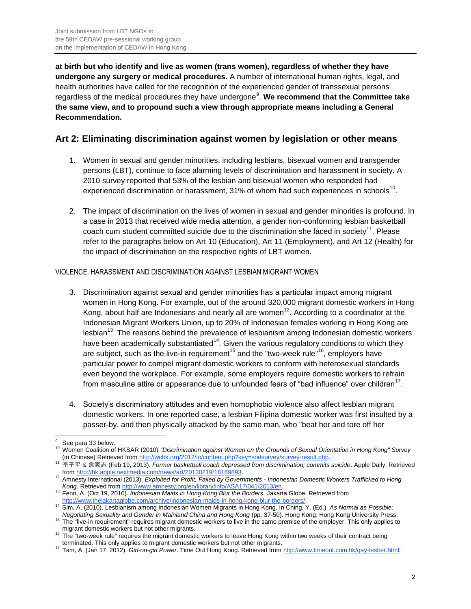**at birth but who identify and live as women (trans women), regardless of whether they have undergone any surgery or medical procedures.** A number of international human rights, legal, and health authorities have called for the recognition of the experienced gender of transsexual persons regardless of the medical procedures they have undergone<sup>9</sup>. We recommend that the Committee take **the same view, and to propound such a view through appropriate means including a General Recommendation.**

# **Art 2: Eliminating discrimination against women by legislation or other means**

- 1. Women in sexual and gender minorities, including lesbians, bisexual women and transgender persons (LBT), continue to face alarming levels of discrimination and harassment in society. A 2010 survey reported that 53% of the lesbian and bisexual women who responded had experienced discrimination or harassment, 31% of whom had such experiences in schools<sup>10</sup>.
- 2. The impact of discrimination on the lives of women in sexual and gender minorities is profound. In a case in 2013 that received wide media attention, a gender non-conforming lesbian basketball coach cum student committed suicide due to the discrimination she faced in society<sup>11</sup>. Please refer to the paragraphs below on Art 10 (Education), Art 11 (Employment), and Art 12 (Health) for the impact of discrimination on the respective rights of LBT women.

## VIOLENCE, HARASSMENT AND DISCRIMINATION AGAINST LESBIAN MIGRANT WOMEN

- 3. Discrimination against sexual and gender minorities has a particular impact among migrant women in Hong Kong. For example, out of the around 320,000 migrant domestic workers in Hong Kong, about half are Indonesians and nearly all are women<sup>12</sup>. According to a coordinator at the Indonesian Migrant Workers Union, up to 20% of Indonesian females working in Hong Kong are lesbian $13$ . The reasons behind the prevalence of lesbianism among Indonesian domestic workers have been academically substantiated<sup>14</sup>. Given the various regulatory conditions to which they are subject, such as the live-in requirement<sup>15</sup> and the "two-week rule"<sup>16</sup>, employers have particular power to compel migrant domestic workers to conform with heterosexual standards even beyond the workplace. For example, some employers require domestic workers to refrain from masculine attire or appearance due to unfounded fears of "bad influence" over children<sup>17</sup>.
- 4. Society's discriminatory attitudes and even homophobic violence also affect lesbian migrant domestic workers. In one reported case, a lesbian Filipina domestic worker was first insulted by a passer-by, and then physically attacked by the same man, who "beat her and tore off her

 See para 33 below.

<sup>10</sup> Women Coalition of HKSAR (2010) *"Discrimination against Women on the Grounds of Sexual Orientation in Hong Kong" Survey*  (in Chinese) Retrieved from [http://wchk.org/2012/tc/content.php?key=sodsurvey/survey-result.php.](http://wchk.org/2012/tc/content.php?key=sodsurvey/survey-result.php)

<sup>11</sup> 李子平 & 詹家志 (Feb 19, 2013). *Former basketball coach depressed from discrimination; commits suicide*. Apple Daily. Retrieved from [http://hk.apple.nextmedia.com/news/art/20130219/18169893.](http://hk.apple.nextmedia.com/news/art/20130219/18169893) <sup>12</sup> Amnesty International (2013). *Exploited for Profit, Failed by Governments - Indonesian Domestic Workers Trafficked to Hong* 

*Kong*. Retrieved from [http://www.amnesty.org/en/library/info/ASA17/041/2013/en.](http://www.amnesty.org/en/library/info/ASA17/041/2013/en) 

<sup>13</sup> Fenn, A. (Oct 19, 2010). *Indonesian Maids in Hong Kong Blur the Borders.* Jakarta Globe. Retrieved fro[m](http://www.thejakartaglobe.com/archive/indonesian-maids-in-hong-kong-blur-the-borders/)

[http://www.thejakartaglobe.com/archive/indonesian-maids-in-hong-kong-blur-the-borders/.](http://www.thejakartaglobe.com/archive/indonesian-maids-in-hong-kong-blur-the-borders/) <sup>14</sup> Sim, A. (2010). Lesbianism among Indonesian Women Migrants in Hong Kong. In Ching, Y. (Ed.), *As Normal as Possible:* 

Negotiating Sexuality and Gender in Mainland China and Hong Kong (pp. 37-50). Hong Kong: Hong Kong University Press.<br><sup>15</sup> The "live-in requirement" requires migrant domestic workers to live in the same premise of the emplo migrant domestic workers but not other migrants.

<sup>&</sup>lt;sup>16</sup> The "two-week rule" requires the migrant domestic workers to leave Hong Kong within two weeks of their contract being terminated. This only applies to migrant domestic workers but not other migrants.

<sup>17</sup> Tam, A. (Jan 17, 2012). *Girl-on-girl Power*. Time Out Hong Kong. Retrieved from [http://www.timeout.com.hk/gay-lesber.html.](http://www.timeout.com.hk/gay-lesbian/features/48226/girl-on-girl-power.html)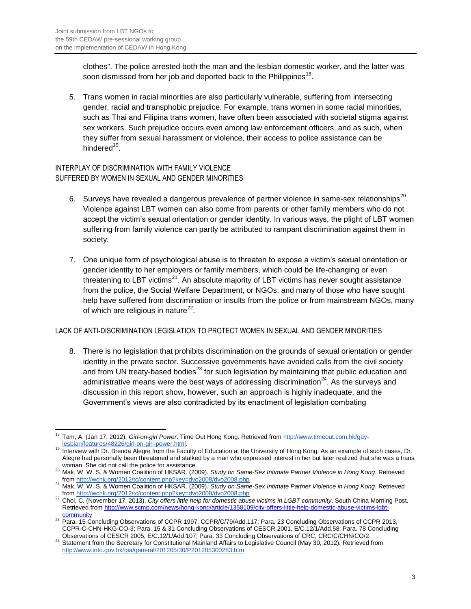clothes". The police arrested both the man and the lesbian domestic worker, and the latter was soon dismissed from her job and deported back to the Philippines<sup>18</sup>.

5. Trans women in racial minorities are also particularly vulnerable, suffering from intersecting gender, racial and transphobic prejudice. For example, trans women in some racial minorities, such as Thai and Filipina trans women, have often been associated with societal stigma against sex workers. Such prejudice occurs even among law enforcement officers, and as such, when they suffer from sexual harassment or violence, their access to police assistance can be hindered<sup>19</sup>.

## INTERPLAY OF DISCRIMINATION WITH FAMILY VIOLENCE SUFFERED BY WOMEN IN SEXUAL AND GENDER MINORITIES

- 6. Surveys have revealed a dangerous prevalence of partner violence in same-sex relationships<sup>20</sup>. Violence against LBT women can also come from parents or other family members who do not accept the victim's sexual orientation or gender identity. In various ways, the plight of LBT women suffering from family violence can partly be attributed to rampant discrimination against them in society.
- 7. One unique form of psychological abuse is to threaten to expose a victim's sexual orientation or gender identity to her employers or family members, which could be life-changing or even threatening to LBT victims<sup>21</sup>. An absolute majority of LBT victims has never sought assistance from the police, the Social Welfare Department, or NGOs; and many of those who have sought help have suffered from discrimination or insults from the police or from mainstream NGOs, many of which are religious in nature $^{22}$ .

## LACK OF ANTI-DISCRIMINATION LEGISLATION TO PROTECT WOMEN IN SEXUAL AND GENDER MINORITIES

8. There is no legislation that prohibits discrimination on the grounds of sexual orientation or gender identity in the private sector. Successive governments have avoided calls from the civil society and from UN treaty-based bodies<sup>23</sup> for such legislation by maintaining that public education and administrative means were the best ways of addressing discrimination<sup>24</sup>. As the surveys and discussion in this report show, however, such an approach is highly inadequate, and the Government's views are also contradicted by its enactment of legislation combating

 $\overline{a}$ <sup>18</sup> Tam, A. (Jan 17, 2012). *Girl-on-girl Power*. Time Out Hong Kong. Retrieved from [http://www.timeout.com.hk/gay](http://www.timeout.com.hk/gay-lesbian/features/48226/girl-on-girl-power.html)[lesbian/features/48226/girl-on-girl-power.html.](http://www.timeout.com.hk/gay-lesbian/features/48226/girl-on-girl-power.html) 

<sup>19</sup> Interview with Dr. Brenda Alegre from the Faculty of Education at the University of Hong Kong. As an example of such cases, Dr. Alegre had personally been threatened and stalked by a man who expressed interest in her but later realized that she was a trans woman. She did not call the police for assistance.

<sup>20</sup> Mak, W. W. S. & Women Coalition of HKSAR. (2009). *Study on Same-Sex Intimate Partner Violence in Hong Kong*. Retrieved from<http://wchk.org/2012/tc/content.php?key=dvo2008/dvo2008.php>

<sup>21</sup> Mak, W. W. S. & Women Coalition of HKSAR. (2009). *Study on Same-Sex Intimate Partner Violence in Hong Kong*. Retrieved from<http://wchk.org/2012/tc/content.php?key=dvo2008/dvo2008.php>

<sup>&</sup>lt;sup>22</sup> Choi, C. (November 17, 2013). *City offers little help for domestic abuse victims in LGBT community*. South China Morning Post. Retrieved fro[m http://www.scmp.com/news/hong-kong/article/1358109/city-offers-little-help-domestic-abuse-victims-lgbt-](http://www.scmp.com/news/hong-kong/article/1358109/city-offers-little-help-domestic-abuse-victims-lgbt-community)

[community](http://www.scmp.com/news/hong-kong/article/1358109/city-offers-little-help-domestic-abuse-victims-lgbt-community) <sup>23</sup> Para. 15 Concluding Observations of CCPR 1997, CCPR/C/79/Add.117; Para. 23 Concluding Observations of CCPR 2013, CCPR-C-CHN-HKG-CO-3; Para. 15 & 31 Concluding Observations of CESCR 2001, E/C.12/1/Add.58; Para. 78 Concluding Observations of CESCR 2005, E/C.12/1/Add.107; Para. 33 Concluding Observations of CRC, CRC/C/CHN/CO/2

<sup>24</sup> Statement from the Secretary for Constitutional Mainland Affairs to Legislative Council (May 30, 2012). Retrieved from <http://www.info.gov.hk/gia/general/201205/30/P201205300283.htm>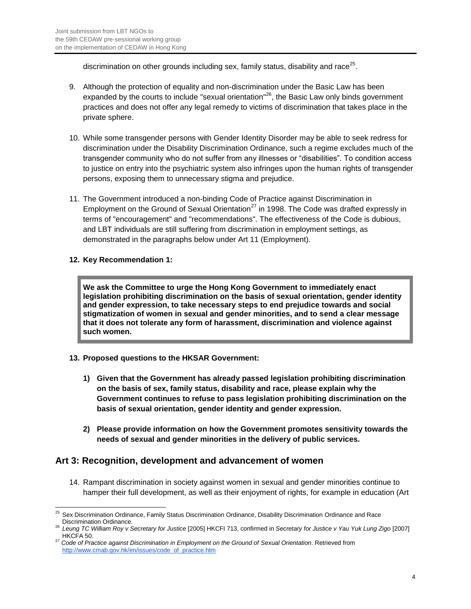discrimination on other grounds including sex, family status, disability and race $^{25}$ .

- 9. Although the protection of equality and non-discrimination under the Basic Law has been expanded by the courts to include "sexual orientation"<sup>26</sup>, the Basic Law only binds government practices and does not offer any legal remedy to victims of discrimination that takes place in the private sphere.
- 10. While some transgender persons with Gender Identity Disorder may be able to seek redress for discrimination under the Disability Discrimination Ordinance, such a regime excludes much of the transgender community who do not suffer from any illnesses or "disabilities". To condition access to justice on entry into the psychiatric system also infringes upon the human rights of transgender persons, exposing them to unnecessary stigma and prejudice.
- 11. The Government introduced a non-binding Code of Practice against Discrimination in Employment on the Ground of Sexual Orientation<sup>27</sup> in 1998. The Code was drafted expressly in terms of "encouragement" and "recommendations". The effectiveness of the Code is dubious, and LBT individuals are still suffering from discrimination in employment settings, as demonstrated in the paragraphs below under Art 11 (Employment).

## **12. Key Recommendation 1:**

**We ask the Committee to urge the Hong Kong Government to immediately enact legislation prohibiting discrimination on the basis of sexual orientation, gender identity and gender expression, to take necessary steps to end prejudice towards and social stigmatization of women in sexual and gender minorities, and to send a clear message that it does not tolerate any form of harassment, discrimination and violence against such women.**

## **13. Proposed questions to the HKSAR Government:**

- **1) Given that the Government has already passed legislation prohibiting discrimination on the basis of sex, family status, disability and race, please explain why the Government continues to refuse to pass legislation prohibiting discrimination on the basis of sexual orientation, gender identity and gender expression.**
- **2) Please provide information on how the Government promotes sensitivity towards the needs of sexual and gender minorities in the delivery of public services.**

## **Art 3: Recognition, development and advancement of women**

14. Rampant discrimination in society against women in sexual and gender minorities continue to hamper their full development, as well as their enjoyment of rights, for example in education (Art

 $\overline{a}$ <sup>25</sup> Sex Discrimination Ordinance, Family Status Discrimination Ordinance, Disability Discrimination Ordinance and Race Discrimination Ordinance.

<sup>26</sup> *Leung TC William Roy v Secretary for Justice* [2005] HKCFI 713, confirmed in *Secretary for Justice v Yau Yuk Lung Zigo* [2007] HKCFA 50.

<sup>27</sup> *Code of Practice against Discrimination in Employment on the Ground of Sexual Orientation*. Retrieved from [http://www.cmab.gov.hk/en/issues/code\\_of\\_practice.htm](http://www.cmab.gov.hk/en/issues/code_of_practice.htm)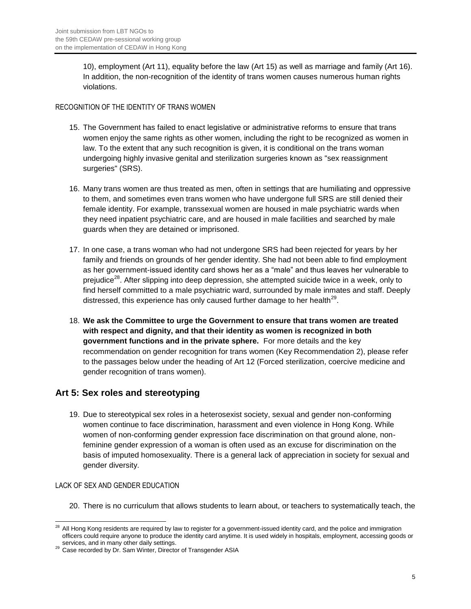10), employment (Art 11), equality before the law (Art 15) as well as marriage and family (Art 16). In addition, the non-recognition of the identity of trans women causes numerous human rights violations.

## RECOGNITION OF THE IDENTITY OF TRANS WOMEN

- 15. The Government has failed to enact legislative or administrative reforms to ensure that trans women enjoy the same rights as other women, including the right to be recognized as women in law. To the extent that any such recognition is given, it is conditional on the trans woman undergoing highly invasive genital and sterilization surgeries known as "sex reassignment surgeries" (SRS).
- 16. Many trans women are thus treated as men, often in settings that are humiliating and oppressive to them, and sometimes even trans women who have undergone full SRS are still denied their female identity. For example, transsexual women are housed in male psychiatric wards when they need inpatient psychiatric care, and are housed in male facilities and searched by male guards when they are detained or imprisoned.
- 17. In one case, a trans woman who had not undergone SRS had been rejected for years by her family and friends on grounds of her gender identity. She had not been able to find employment as her government-issued identity card shows her as a "male" and thus leaves her vulnerable to preiudice<sup>28</sup>. After slipping into deep depression, she attempted suicide twice in a week, only to find herself committed to a male psychiatric ward, surrounded by male inmates and staff. Deeply distressed, this experience has only caused further damage to her health<sup>29</sup>.
- 18. **We ask the Committee to urge the Government to ensure that trans women are treated with respect and dignity, and that their identity as women is recognized in both government functions and in the private sphere.** For more details and the key recommendation on gender recognition for trans women (Key Recommendation 2), please refer to the passages below under the heading of Art 12 (Forced sterilization, coercive medicine and gender recognition of trans women).

# **Art 5: Sex roles and stereotyping**

19. Due to stereotypical sex roles in a heterosexist society, sexual and gender non-conforming women continue to face discrimination, harassment and even violence in Hong Kong. While women of non-conforming gender expression face discrimination on that ground alone, nonfeminine gender expression of a woman is often used as an excuse for discrimination on the basis of imputed homosexuality. There is a general lack of appreciation in society for sexual and gender diversity.

## LACK OF SEX AND GENDER EDUCATION

20. There is no curriculum that allows students to learn about, or teachers to systematically teach, the

 $\overline{a}$  $^{28}$  All Hong Kong residents are required by law to register for a government-issued identity card, and the police and immigration officers could require anyone to produce the identity card anytime. It is used widely in hospitals, employment, accessing goods or

services, and in many other daily settings. <sup>29</sup> Case recorded by Dr. Sam Winter, Director of Transgender ASIA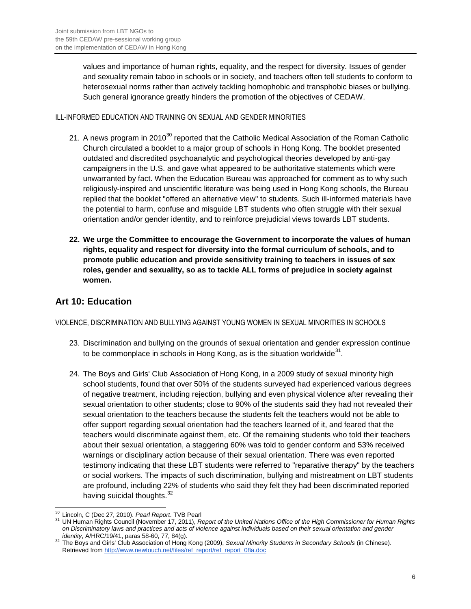values and importance of human rights, equality, and the respect for diversity. Issues of gender and sexuality remain taboo in schools or in society, and teachers often tell students to conform to heterosexual norms rather than actively tackling homophobic and transphobic biases or bullying. Such general ignorance greatly hinders the promotion of the objectives of CEDAW.

## ILL-INFORMED EDUCATION AND TRAINING ON SEXUAL AND GENDER MINORITIES

- 21. A news program in 2010<sup>30</sup> reported that the Catholic Medical Association of the Roman Catholic Church circulated a booklet to a major group of schools in Hong Kong. The booklet presented outdated and discredited psychoanalytic and psychological theories developed by anti-gay campaigners in the U.S. and gave what appeared to be authoritative statements which were unwarranted by fact. When the Education Bureau was approached for comment as to why such religiously-inspired and unscientific literature was being used in Hong Kong schools, the Bureau replied that the booklet "offered an alternative view" to students. Such ill-informed materials have the potential to harm, confuse and misguide LBT students who often struggle with their sexual orientation and/or gender identity, and to reinforce prejudicial views towards LBT students.
- **22. We urge the Committee to encourage the Government to incorporate the values of human rights, equality and respect for diversity into the formal curriculum of schools, and to promote public education and provide sensitivity training to teachers in issues of sex roles, gender and sexuality, so as to tackle ALL forms of prejudice in society against women.**

## **Art 10: Education**

VIOLENCE, DISCRIMINATION AND BULLYING AGAINST YOUNG WOMEN IN SEXUAL MINORITIES IN SCHOOLS

- 23. Discrimination and bullying on the grounds of sexual orientation and gender expression continue to be commonplace in schools in Hong Kong, as is the situation worldwide $31$ .
- 24. The Boys and Girls' Club Association of Hong Kong, in a 2009 study of sexual minority high school students, found that over 50% of the students surveyed had experienced various degrees of negative treatment, including rejection, bullying and even physical violence after revealing their sexual orientation to other students; close to 90% of the students said they had not revealed their sexual orientation to the teachers because the students felt the teachers would not be able to offer support regarding sexual orientation had the teachers learned of it, and feared that the teachers would discriminate against them, etc. Of the remaining students who told their teachers about their sexual orientation, a staggering 60% was told to gender conform and 53% received warnings or disciplinary action because of their sexual orientation. There was even reported testimony indicating that these LBT students were referred to "reparative therapy" by the teachers or social workers. The impacts of such discrimination, bullying and mistreatment on LBT students are profound, including 22% of students who said they felt they had been discriminated reported having suicidal thoughts.<sup>32</sup>

 $\overline{a}$ <sup>30</sup> Lincoln, C (Dec 27, 2010). *Pearl Report*. TVB Pearl

<sup>31</sup> UN Human Rights Council (November 17, 2011), *Report of the United Nations Office of the High Commissioner for Human Rights on Discriminatory laws and practices and acts of violence against individuals based on their sexual orientation and gender identity*, A/HRC/19/41, paras 58-60, 77, 84(g).

<sup>32</sup> The Boys and Girls' Club Association of Hong Kong (2009), *Sexual Minority Students in Secondary Schools* (in Chinese). Retrieved fr[om http://www.newtouch.net/files/ref\\_report/ref\\_report\\_08a.doc](http://www.newtouch.net/files/ref_report/ref_report_08a.doc)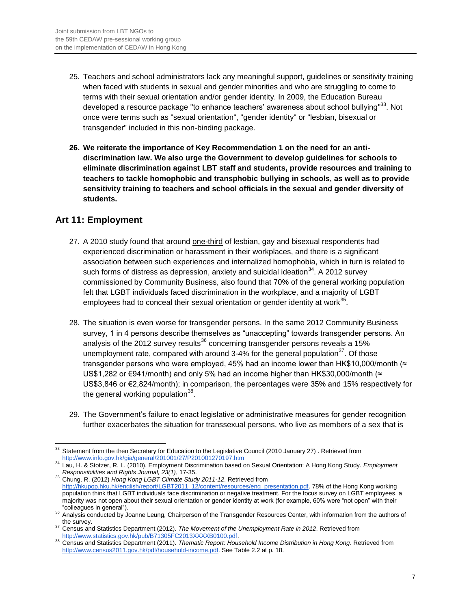- 25. Teachers and school administrators lack any meaningful support, guidelines or sensitivity training when faced with students in sexual and gender minorities and who are struggling to come to terms with their sexual orientation and/or gender identity. In 2009, the Education Bureau developed a resource package "to enhance teachers' awareness about school bullying"<sup>33</sup>. Not once were terms such as "sexual orientation", "gender identity" or "lesbian, bisexual or transgender" included in this non-binding package.
- **26. We reiterate the importance of Key Recommendation 1 on the need for an antidiscrimination law. We also urge the Government to develop guidelines for schools to eliminate discrimination against LBT staff and students, provide resources and training to teachers to tackle homophobic and transphobic bullying in schools, as well as to provide sensitivity training to teachers and school officials in the sexual and gender diversity of students.**

## **Art 11: Employment**

- 27. A 2010 study found that around one-third of lesbian, gay and bisexual respondents had experienced discrimination or harassment in their workplaces, and there is a significant association between such experiences and internalized homophobia, which in turn is related to such forms of distress as depression, anxiety and suicidal ideation $34$ . A 2012 survev commissioned by Community Business, also found that 70% of the general working population felt that LGBT individuals faced discrimination in the workplace, and a majority of LGBT employees had to conceal their sexual orientation or gender identity at work $^{35}$ .
- 28. The situation is even worse for transgender persons. In the same 2012 Community Business survey, 1 in 4 persons describe themselves as "unaccepting" towards transgender persons. An analysis of the 2012 survey results<sup>36</sup> concerning transgender persons reveals a 15% unemployment rate, compared with around 3-4% for the general population $37$ . Of those transgender persons who were employed, 45% had an income lower than HK\$10,000/month ( $\approx$ US\$1,282 or €941/month) and only 5% had an income higher than HK\$30,000/month (≈ US\$3,846 or €2,824/month); in comparison, the percentages were 35% and 15% respectively for the general working population $^{38}$ .
- 29. The Government's failure to enact legislative or administrative measures for gender recognition further exacerbates the situation for transsexual persons, who live as members of a sex that is

 $\overline{a}$  $33$  Statement from the then Secretary for Education to the Legislative Council (2010 January 27) . Retrieved from <http://www.info.gov.hk/gia/general/201001/27/P201001270197.htm>

<sup>34</sup> Lau, H. & Stotzer, R. L. (2010). Employment Discrimination based on Sexual Orientation: A Hong Kong Study. *Employment Responsibilities and Rights Journal, 23(1)*, 17-35.

<sup>35</sup> Chung, R. (2012) *Hong Kong LGBT Climate Study 2011-12*. Retrieved from [http://hkupop.hku.hk/english/report/LGBT2011\\_12/content/resources/eng\\_presentation.pdf.](http://hkupop.hku.hk/english/report/LGBT2011_12/content/resources/eng_presentation.pdf。) 78% of the Hong Kong working population think that LGBT individuals face discrimination or negative treatment. For [the focus survey on LGBT employees, a](http://wchk.org/2012/tc/content.php?key=dvo2008/dvo2008.php)  [majority was not open about their sexual orientation or ge](http://wchk.org/2012/tc/content.php?key=sodsurvey/survey-result.php)nder identity at work (for example, 60% were "not open" with their "colleagues in general").

<sup>&</sup>lt;sup>36</sup> Analysis conducted by Joanne Leung, Chairperson of the Transgender Resources Center, with information from the authors of

the survey. <sup>37</sup> Census and Statistics Department (2012). *The Movement of the Unemployment Rate in 2012*. Retrieved from [http://www.statistics.gov.hk/pub/B71305FC2013XXXXB0100.pdf.](http://www.statistics.gov.hk/pub/B71305FC2013XXXXB0100.pdf) 

<sup>38</sup> Census and Statistics Department (2011). *Thematic Report: Household Income Distribution in Hong Kong*. Retrieved from [http://www.census2011.gov.hk/pdf/household-income.pdf.](http://www.census2011.gov.hk/pdf/household-income.pdf) See Table 2.2 at p. 18.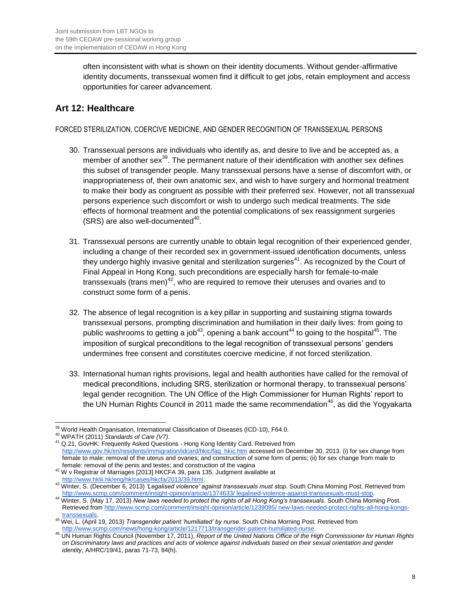often inconsistent with what is shown on their identity documents. Without gender-affirmative identity documents, transsexual women find it difficult to get jobs, retain employment and access opportunities for career advancement.

# **Art 12: Healthcare**

## FORCED STERILIZATION, COERCIVE MEDICINE, AND GENDER RECOGNITION OF TRANSSEXUAL PERSONS

- 30. Transsexual persons are individuals who identify as, and desire to live and be accepted as, a member of another sex<sup>39</sup>. The permanent nature of their identification with another sex defines this subset of transgender people. Many transsexual persons have a sense of discomfort with, or inappropriateness of, their own anatomic sex, and wish to have surgery and hormonal treatment to make their body as congruent as possible with their preferred sex. However, not all transsexual persons experience such discomfort or wish to undergo such medical treatments. The side effects of hormonal treatment and the potential complications of sex reassignment surgeries (SRS) are also well-documented $40$ .
- 31. Transsexual persons are currently unable to obtain legal recognition of their experienced gender, including a change of their recorded sex in government-issued identification documents, unless they undergo highly invasive genital and sterilization surgeries<sup>41</sup>. As recognized by the Court of Final Appeal in Hong Kong, such preconditions are especially harsh for female-to-male transsexuals (trans men) $42$ , who are required to remove their uteruses and ovaries and to construct some form of a penis.
- 32. The absence of legal recognition is a key pillar in supporting and sustaining stigma towards transsexual persons, prompting discrimination and humiliation in their daily lives: from going to public washrooms to getting a job<sup>43</sup>, opening a bank account<sup>44</sup> to going to the hospital<sup>45</sup>. The imposition of surgical preconditions to the legal recognition of transsexual persons' genders undermines free consent and constitutes coercive medicine, if not forced sterilization.
- 33. International human rights provisions, legal and health authorities have called for the removal of medical preconditions, including SRS, sterilization or hormonal therapy, to transsexual persons' legal gender recognition. The UN Office of the High Commissioner for Human Rights' report to the UN Human Rights Council in 2011 made the same recommendation<sup>46</sup>, as did the Yogyakarta

 <sup>39</sup> World Health Organisation, International Classification of Diseases (ICD-10), F64.0.

<sup>40</sup> WPATH (2011) *Standards of Care (V7)*.

<sup>41</sup> Q.21, GovHK: Frequently Asked Questions - Hong Kong Identity Card. Retreived from [http://www.gov.hk/en/residents/immigration/idcard/hkic/faq\\_hkic.htm](http://www.gov.hk/en/residents/immigration/idcard/hkic/faq_hkic.htm) accessed on December 30, 2013. (i) for sex change from female to male: removal of the uterus and ovaries; and construction of some form of penis; (ii) for sex change from male to female: removal of the penis and testes; and construction of the vagina

<sup>42</sup> W v Registrar of Marriages [2013] HKCFA 39, para 135. Judgment available at [http://www.hklii.hk/eng/hk/cases/hkcfa/2013/39.html.](http://www.hklii.hk/eng/hk/cases/hkcfa/2013/39.html)

<sup>43</sup> Winter, S. (December 6, 2013) *'Legalised violence' against transsexuals must stop*. South China Morning Post. Retrieved from [http://www.scmp.com/comment/insight-opinion/article/1374633/ legalised-violence-against-transsexuals-must-stop.](http://www.scmp.com/comment/insight-opinion/article/1374633/legalised-violence-against-transsexuals-must-stop)

<sup>44</sup> Winter, S. (May 17, 2013) *New laws needed to protect the rights of all Hong Kong's transsexuals*. South China Morning Post. Retrieved fro[m http://www.scmp.com/comment/insight-opinion/article/1239095/ new-laws-needed-protect-rights-all-hong-kongs](http://www.scmp.com/comment/insight-opinion/article/1239095/new-laws-needed-protect-rights-all-hong-kongs-transsexuals)[transsexuals.](http://www.scmp.com/comment/insight-opinion/article/1239095/new-laws-needed-protect-rights-all-hong-kongs-transsexuals)

<sup>45</sup> Wei, L. (April 19, 2013) *Transgender patient 'humiliated' by nurse*. South China Morning Post. Retrieved from [http://www.scmp.com/news/hong-kong/article/1217713/transgender-patient-humiliated-nurse.](http://www.scmp.com/news/hong-kong/article/1217713/transgender-patient-humiliated-nurse)

<sup>46</sup> UN Human Rights Council (November 17, 2011), *Report of the United Nations Office of the High Commissioner for Human Rights on Discriminatory laws and practices and acts of violence against individuals based on their sexual orientation and gender identity*, A/HRC/19/41, paras 71-73, 84(h).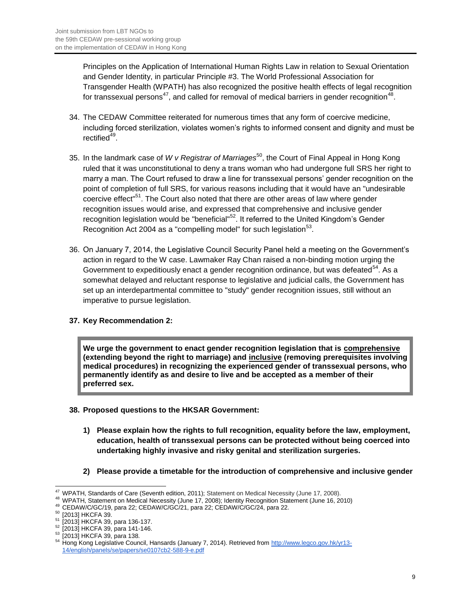Principles on the Application of International Human Rights Law in relation to Sexual Orientation and Gender Identity, in particular Principle #3. The World Professional Association for Transgender Health (WPATH) has also recognized the positive health effects of legal recognition for transsexual persons $^{47}$ , and called for removal of medical barriers in gender recognition $^{48}$ .

- 34. The CEDAW Committee reiterated for numerous times that any form of coercive medicine, including forced sterilization, violates women's rights to informed consent and dignity and must be rectified<sup>49</sup>.
- 35. In the landmark case of *W v Registrar of Marriages*<sup>50</sup>, the Court of Final Appeal in Hong Kong ruled that it was unconstitutional to deny a trans woman who had undergone full SRS her right to marry a man. The Court refused to draw a line for transsexual persons' gender recognition on the point of completion of full SRS, for various reasons including that it would have an "undesirable coercive effect<sup>"51</sup>. The Court also noted that there are other areas of law where gender recognition issues would arise, and expressed that comprehensive and inclusive gender recognition legislation would be "beneficial"<sup>52</sup>. It referred to the United Kingdom's Gender Recognition Act 2004 as a "compelling model" for such legislation $^{53}$ .
- 36. On January 7, 2014, the Legislative Council Security Panel held a meeting on the Government's action in regard to the W case. Lawmaker Ray Chan raised a non-binding motion urging the Government to expeditiously enact a gender recognition ordinance, but was defeated<sup>54</sup>. As a somewhat delayed and reluctant response to legislative and judicial calls, the Government has set up an interdepartmental committee to "study" gender recognition issues, still without an imperative to pursue legislation.

## **37. Key Recommendation 2:**

**We urge the government to enact gender recognition legislation that is comprehensive (extending beyond the right to marriage) and inclusive (removing prerequisites involving medical procedures) in recognizing the experienced gender of transsexual persons, who permanently identify as and desire to live and be accepted as a member of their preferred sex.**

- **38. Proposed questions to the HKSAR Government:** 
	- **1) Please explain how the rights to full recognition, equality before the law, employment, education, health of transsexual persons can be protected without being coerced into undertaking highly invasive and risky genital and sterilization surgeries.**
	- **2) Please provide a timetable for the introduction of comprehensive and inclusive gender**

 <sup>47</sup> WPATH, Standards of Care (Seventh edition, 2011); Statement on Medical Necessity (June 17, 2008).

<sup>&</sup>lt;sup>48</sup> WPATH, Statement on Medical Necessity (June 17, 2008); Identity Recognition Statement (June 16, 2010)

<sup>49</sup> CEDAW/C/GC/19, para 22; CEDAW/C/GC/21, para 22; CEDAW/C/GC/24, para 22.

<sup>50</sup> [2013] HKCFA 39.

<sup>[2013]</sup> HKCFA 39, para 136-137.

<sup>[2013]</sup> HKCFA 39, para 141-146.

<sup>53</sup> [2013] HKCFA 39, para 138.

<sup>54</sup> Hong Kong Legislative Council, Hansards (January 7, 2014). Retrieved fro[m http://www.legco.gov.hk/yr13-](http://www.legco.gov.hk/yr13-14/english/panels/se/papers/se0107cb2-588-9-e.pdf) [14/english/panels/se/papers/se0107cb2-588-9-e.pdf](http://www.legco.gov.hk/yr13-14/english/panels/se/papers/se0107cb2-588-9-e.pdf)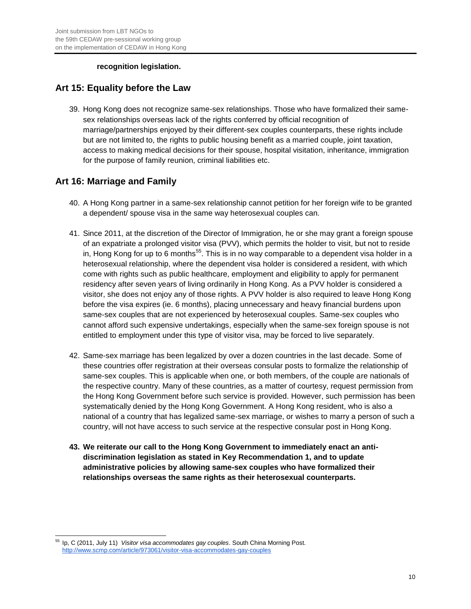#### **recognition legislation.**

## **Art 15: Equality before the Law**

39. Hong Kong does not recognize same-sex relationships. Those who have formalized their samesex relationships overseas lack of the rights conferred by official recognition of marriage/partnerships enjoyed by their different-sex couples counterparts, these rights include but are not limited to, the rights to public housing benefit as a married couple, joint taxation, access to making medical decisions for their spouse, hospital visitation, inheritance, immigration for the purpose of family reunion, criminal liabilities etc.

## **Art 16: Marriage and Family**

- 40. A Hong Kong partner in a same-sex relationship cannot petition for her foreign wife to be granted a dependent/ spouse visa in the same way heterosexual couples can.
- 41. Since 2011, at the discretion of the Director of Immigration, he or she may grant a foreign spouse of an expatriate a prolonged visitor visa (PVV), which permits the holder to visit, but not to reside in, Hong Kong for up to 6 months<sup>55</sup>. This is in no way comparable to a dependent visa holder in a heterosexual relationship, where the dependent visa holder is considered a resident, with which come with rights such as public healthcare, employment and eligibility to apply for permanent residency after seven years of living ordinarily in Hong Kong. As a PVV holder is considered a visitor, she does not enjoy any of those rights. A PVV holder is also required to leave Hong Kong before the visa expires (ie. 6 months), placing unnecessary and heavy financial burdens upon same-sex couples that are not experienced by heterosexual couples. Same-sex couples who cannot afford such expensive undertakings, especially when the same-sex foreign spouse is not entitled to employment under this type of visitor visa, may be forced to live separately.
- 42. Same-sex marriage has been legalized by over a dozen countries in the last decade. Some of these countries offer registration at their overseas consular posts to formalize the relationship of same-sex couples. This is applicable when one, or both members, of the couple are nationals of the respective country. Many of these countries, as a matter of courtesy, request permission from the Hong Kong Government before such service is provided. However, such permission has been systematically denied by the Hong Kong Government. A Hong Kong resident, who is also a national of a country that has legalized same-sex marriage, or wishes to marry a person of such a country, will not have access to such service at the respective consular post in Hong Kong.
- **43. We reiterate our call to the Hong Kong Government to immediately enact an antidiscrimination legislation as stated in Key Recommendation 1, and to update administrative policies by allowing same-sex couples who have formalized their relationships overseas the same rights as their heterosexual counterparts.**

<sup>55</sup> <sup>55</sup> Ip, C (2011, July 11) *Visitor visa accommodates gay couples*. South China Morning Post. <http://www.scmp.com/article/973061/visitor-visa-accommodates-gay-couples>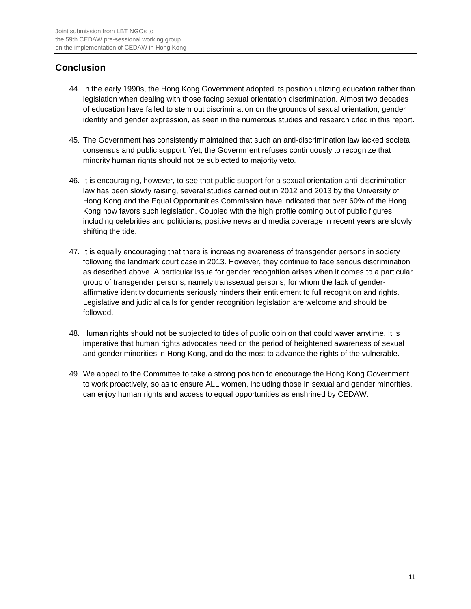# **Conclusion**

- 44. In the early 1990s, the Hong Kong Government adopted its position utilizing education rather than legislation when dealing with those facing sexual orientation discrimination. Almost two decades of education have failed to stem out discrimination on the grounds of sexual orientation, gender identity and gender expression, as seen in the numerous studies and research cited in this report.
- 45. The Government has consistently maintained that such an anti-discrimination law lacked societal consensus and public support. Yet, the Government refuses continuously to recognize that minority human rights should not be subjected to majority veto.
- 46. It is encouraging, however, to see that public support for a sexual orientation anti-discrimination law has been slowly raising, several studies carried out in 2012 and 2013 by the University of Hong Kong and the Equal Opportunities Commission have indicated that over 60% of the Hong Kong now favors such legislation. Coupled with the high profile coming out of public figures including celebrities and politicians, positive news and media coverage in recent years are slowly shifting the tide.
- 47. It is equally encouraging that there is increasing awareness of transgender persons in society following the landmark court case in 2013. However, they continue to face serious discrimination as described above. A particular issue for gender recognition arises when it comes to a particular group of transgender persons, namely transsexual persons, for whom the lack of genderaffirmative identity documents seriously hinders their entitlement to full recognition and rights. Legislative and judicial calls for gender recognition legislation are welcome and should be followed.
- 48. Human rights should not be subjected to tides of public opinion that could waver anytime. It is imperative that human rights advocates heed on the period of heightened awareness of sexual and gender minorities in Hong Kong, and do the most to advance the rights of the vulnerable.
- 49. We appeal to the Committee to take a strong position to encourage the Hong Kong Government to work proactively, so as to ensure ALL women, including those in sexual and gender minorities, can enjoy human rights and access to equal opportunities as enshrined by CEDAW.